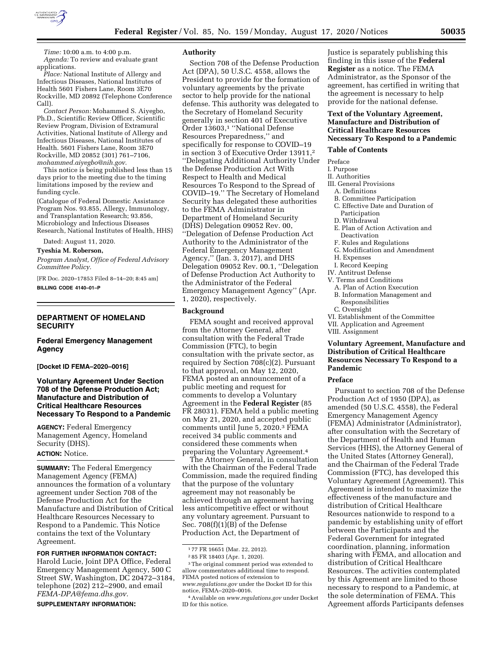

*Time:* 10:00 a.m. to 4:00 p.m. *Agenda:* To review and evaluate grant applications.

*Place:* National Institute of Allergy and Infectious Diseases, National Institutes of Health 5601 Fishers Lane, Room 3E70 Rockville, MD 20892 (Telephone Conference Call).

*Contact Person:* Mohammed S. Aiyegbo, Ph.D., Scientific Review Officer, Scientific Review Program, Division of Extramural Activities, National Institute of Allergy and Infectious Diseases, National Institutes of Health. 5601 Fishers Lane, Room 3E70 Rockville, MD 20852 (301) 761–7106, *[mohammed.aiyegbo@nih.gov](mailto:mohammed.aiyegbo@nih.gov)*.

This notice is being published less than 15 days prior to the meeting due to the timing limitations imposed by the review and funding cycle.

(Catalogue of Federal Domestic Assistance Program Nos. 93.855, Allergy, Immunology, and Transplantation Research; 93.856, Microbiology and Infectious Diseases Research, National Institutes of Health, HHS)

Dated: August 11, 2020.

#### **Tyeshia M. Roberson,**

*Program Analyst, Office of Federal Advisory Committee Policy.* 

[FR Doc. 2020–17853 Filed 8–14–20; 8:45 am] **BILLING CODE 4140–01–P** 

#### **DEPARTMENT OF HOMELAND SECURITY**

#### **Federal Emergency Management Agency**

## **[Docket ID FEMA–2020–0016]**

## **Voluntary Agreement Under Section 708 of the Defense Production Act; Manufacture and Distribution of Critical Healthcare Resources Necessary To Respond to a Pandemic**

**AGENCY:** Federal Emergency Management Agency, Homeland Security (DHS). **ACTION:** Notice.

**SUMMARY:** The Federal Emergency Management Agency (FEMA) announces the formation of a voluntary agreement under Section 708 of the Defense Production Act for the Manufacture and Distribution of Critical Healthcare Resources Necessary to Respond to a Pandemic. This Notice contains the text of the Voluntary Agreement.

#### **FOR FURTHER INFORMATION CONTACT:**

Harold Lucie, Joint DPA Office, Federal Emergency Management Agency, 500 C Street SW, Washington, DC 20472–3184, telephone (202) 212–2900, and email *[FEMA-DPA@fema.dhs.gov.](mailto:FEMA-DPA@fema.dhs.gov)* 

#### **SUPPLEMENTARY INFORMATION:**

#### **Authority**

Section 708 of the Defense Production Act (DPA), 50 U.S.C. 4558, allows the President to provide for the formation of voluntary agreements by the private sector to help provide for the national defense. This authority was delegated to the Secretary of Homeland Security generally in section 401 of Executive Order 13603,1 ''National Defense Resources Preparedness,'' and specifically for response to COVID–19 in section 3 of Executive Order 13911,2 ''Delegating Additional Authority Under the Defense Production Act With Respect to Health and Medical Resources To Respond to the Spread of COVID–19.'' The Secretary of Homeland Security has delegated these authorities to the FEMA Administrator in Department of Homeland Security (DHS) Delegation 09052 Rev. 00, ''Delegation of Defense Production Act Authority to the Administrator of the Federal Emergency Management Agency,'' (Jan. 3, 2017), and DHS Delegation 09052 Rev. 00.1, ''Delegation of Defense Production Act Authority to the Administrator of the Federal Emergency Management Agency'' (Apr. 1, 2020), respectively.

#### **Background**

FEMA sought and received approval from the Attorney General, after consultation with the Federal Trade Commission (FTC), to begin consultation with the private sector, as required by Section 708(c)(2). Pursuant to that approval, on May 12, 2020, FEMA posted an announcement of a public meeting and request for comments to develop a Voluntary Agreement in the **Federal Register** (85 FR 28031). FEMA held a public meeting on May 21, 2020, and accepted public comments until June 5, 2020.3 FEMA received 34 public comments and considered these comments when preparing the Voluntary Agreement.4

The Attorney General, in consultation with the Chairman of the Federal Trade Commission, made the required finding that the purpose of the voluntary agreement may not reasonably be achieved through an agreement having less anticompetitive effect or without any voluntary agreement. Pursuant to Sec. 708(f)(1)(B) of the Defense Production Act, the Department of

Justice is separately publishing this finding in this issue of the **Federal Register** as a notice. The FEMA Administrator, as the Sponsor of the agreement, has certified in writing that the agreement is necessary to help provide for the national defense.

## **Text of the Voluntary Agreement, Manufacture and Distribution of Critical Healthcare Resources Necessary To Respond to a Pandemic**

#### **Table of Contents**

#### Preface

I. Purpose

#### II. Authorities

- III. General Provisions
	- A. Definitions
	- B. Committee Participation
	- C. Effective Date and Duration of Participation
	- D. Withdrawal
	- E. Plan of Action Activation and Deactivation
- F. Rules and Regulations
- G. Modification and Amendment
- H. Expenses
- I. Record Keeping
- IV. Antitrust Defense
- V. Terms and Conditions
- A. Plan of Action Execution
- B. Information Management and Responsibilities
- C. Oversight
- VI. Establishment of the Committee
- VII. Application and Agreement
- VIII. Assignment

## **Voluntary Agreement, Manufacture and Distribution of Critical Healthcare Resources Necessary To Respond to a Pandemic**

#### **Preface**

Pursuant to section 708 of the Defense Production Act of 1950 (DPA), as amended (50 U.S.C. 4558), the Federal Emergency Management Agency (FEMA) Administrator (Administrator), after consultation with the Secretary of the Department of Health and Human Services (HHS), the Attorney General of the United States (Attorney General), and the Chairman of the Federal Trade Commission (FTC), has developed this Voluntary Agreement (Agreement). This Agreement is intended to maximize the effectiveness of the manufacture and distribution of Critical Healthcare Resources nationwide to respond to a pandemic by establishing unity of effort between the Participants and the Federal Government for integrated coordination, planning, information sharing with FEMA, and allocation and distribution of Critical Healthcare Resources. The activities contemplated by this Agreement are limited to those necessary to respond to a Pandemic, at the sole determination of FEMA. This Agreement affords Participants defenses

<sup>1</sup> 77 FR 16651 (Mar. 22, 2012).

<sup>2</sup> 85 FR 18403 (Apr. 1, 2020).

<sup>3</sup>The original comment period was extended to allow commentators additional time to respond. FEMA posted notices of extension to *[www.regulations.gov](http://www.regulations.gov)* under the Docket ID for this notice, FEMA–2020–0016.

<sup>4</sup>Available on *[www.regulations.gov](http://www.regulations.gov)* under Docket ID for this notice.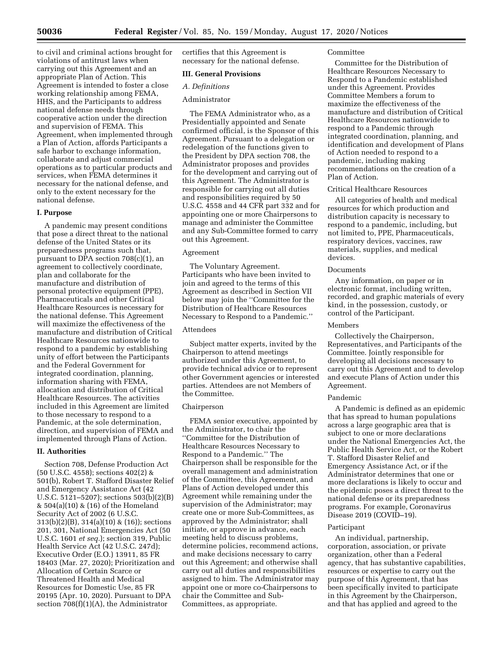to civil and criminal actions brought for violations of antitrust laws when carrying out this Agreement and an appropriate Plan of Action. This Agreement is intended to foster a close working relationship among FEMA, HHS, and the Participants to address national defense needs through cooperative action under the direction and supervision of FEMA. This Agreement, when implemented through a Plan of Action, affords Participants a safe harbor to exchange information, collaborate and adjust commercial operations as to particular products and services, when FEMA determines it necessary for the national defense, and only to the extent necessary for the national defense.

## **I. Purpose**

A pandemic may present conditions that pose a direct threat to the national defense of the United States or its preparedness programs such that, pursuant to DPA section  $708(c)(1)$ , an agreement to collectively coordinate, plan and collaborate for the manufacture and distribution of personal protective equipment (PPE), Pharmaceuticals and other Critical Healthcare Resources is necessary for the national defense. This Agreement will maximize the effectiveness of the manufacture and distribution of Critical Healthcare Resources nationwide to respond to a pandemic by establishing unity of effort between the Participants and the Federal Government for integrated coordination, planning, information sharing with FEMA, allocation and distribution of Critical Healthcare Resources. The activities included in this Agreement are limited to those necessary to respond to a Pandemic, at the sole determination, direction, and supervision of FEMA and implemented through Plans of Action.

## **II. Authorities**

Section 708, Defense Production Act (50 U.S.C. 4558); sections 402(2) & 501(b), Robert T. Stafford Disaster Relief and Emergency Assistance Act (42 U.S.C. 5121–5207); sections 503(b)(2)(B) & 504(a)(10) & (16) of the Homeland Security Act of 2002 (6 U.S.C. 313(b)(2)(B), 314(a)(10) & (16)); sections 201, 301, National Emergencies Act (50 U.S.C. 1601 *et seq.*); section 319, Public Health Service Act (42 U.S.C. 247d); Executive Order (E.O.) 13911, 85 FR 18403 (Mar. 27, 2020); Prioritization and Allocation of Certain Scarce or Threatened Health and Medical Resources for Domestic Use, 85 FR 20195 (Apr. 10, 2020). Pursuant to DPA section  $708(f)(1)(A)$ , the Administrator

certifies that this Agreement is necessary for the national defense.

#### **III. General Provisions**

## *A. Definitions*

## Administrator

The FEMA Administrator who, as a Presidentially appointed and Senate confirmed official, is the Sponsor of this Agreement. Pursuant to a delegation or redelegation of the functions given to the President by DPA section 708, the Administrator proposes and provides for the development and carrying out of this Agreement. The Administrator is responsible for carrying out all duties and responsibilities required by 50 U.S.C. 4558 and 44 CFR part 332 and for appointing one or more Chairpersons to manage and administer the Committee and any Sub-Committee formed to carry out this Agreement.

#### Agreement

The Voluntary Agreement. Participants who have been invited to join and agreed to the terms of this Agreement as described in Section VII below may join the ''Committee for the Distribution of Healthcare Resources Necessary to Respond to a Pandemic.''

#### Attendees

Subject matter experts, invited by the Chairperson to attend meetings authorized under this Agreement, to provide technical advice or to represent other Government agencies or interested parties. Attendees are not Members of the Committee.

#### Chairperson

FEMA senior executive, appointed by the Administrator, to chair the ''Committee for the Distribution of Healthcare Resources Necessary to Respond to a Pandemic.'' The Chairperson shall be responsible for the overall management and administration of the Committee, this Agreement, and Plans of Action developed under this Agreement while remaining under the supervision of the Administrator; may create one or more Sub-Committees, as approved by the Administrator; shall initiate, or approve in advance, each meeting held to discuss problems, determine policies, recommend actions, and make decisions necessary to carry out this Agreement; and otherwise shall carry out all duties and responsibilities assigned to him. The Administrator may appoint one or more co-Chairpersons to chair the Committee and Sub-Committees, as appropriate.

#### Committee

Committee for the Distribution of Healthcare Resources Necessary to Respond to a Pandemic established under this Agreement. Provides Committee Members a forum to maximize the effectiveness of the manufacture and distribution of Critical Healthcare Resources nationwide to respond to a Pandemic through integrated coordination, planning, and identification and development of Plans of Action needed to respond to a pandemic, including making recommendations on the creation of a Plan of Action.

#### Critical Healthcare Resources

All categories of health and medical resources for which production and distribution capacity is necessary to respond to a pandemic, including, but not limited to, PPE, Pharmaceuticals, respiratory devices, vaccines, raw materials, supplies, and medical devices.

#### **Documents**

Any information, on paper or in electronic format, including written, recorded, and graphic materials of every kind, in the possession, custody, or control of the Participant.

#### Members

Collectively the Chairperson, Representatives, and Participants of the Committee. Jointly responsible for developing all decisions necessary to carry out this Agreement and to develop and execute Plans of Action under this Agreement.

#### Pandemic

A Pandemic is defined as an epidemic that has spread to human populations across a large geographic area that is subject to one or more declarations under the National Emergencies Act, the Public Health Service Act, or the Robert T. Stafford Disaster Relief and Emergency Assistance Act, or if the Administrator determines that one or more declarations is likely to occur and the epidemic poses a direct threat to the national defense or its preparedness programs. For example, Coronavirus Disease 2019 (COVID–19).

#### Participant

An individual, partnership, corporation, association, or private organization, other than a Federal agency, that has substantive capabilities, resources or expertise to carry out the purpose of this Agreement, that has been specifically invited to participate in this Agreement by the Chairperson, and that has applied and agreed to the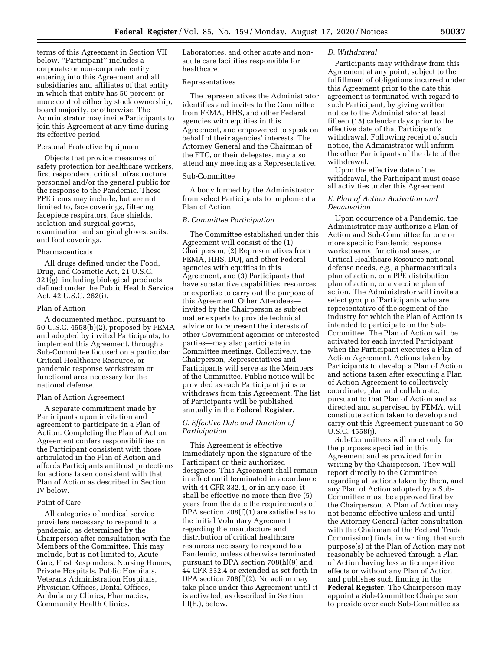terms of this Agreement in Section VII below. ''Participant'' includes a corporate or non-corporate entity entering into this Agreement and all subsidiaries and affiliates of that entity in which that entity has 50 percent or more control either by stock ownership, board majority, or otherwise. The Administrator may invite Participants to join this Agreement at any time during its effective period.

#### Personal Protective Equipment

Objects that provide measures of safety protection for healthcare workers, first responders, critical infrastructure personnel and/or the general public for the response to the Pandemic. These PPE items may include, but are not limited to, face coverings, filtering facepiece respirators, face shields, isolation and surgical gowns, examination and surgical gloves, suits, and foot coverings.

#### Pharmaceuticals

All drugs defined under the Food, Drug, and Cosmetic Act, 21 U.S.C. 321(g), including biological products defined under the Public Health Service Act, 42 U.S.C. 262(i).

#### Plan of Action

A documented method, pursuant to 50 U.S.C. 4558(b)(2), proposed by FEMA and adopted by invited Participants, to implement this Agreement, through a Sub-Committee focused on a particular Critical Healthcare Resource, or pandemic response workstream or functional area necessary for the national defense.

#### Plan of Action Agreement

A separate commitment made by Participants upon invitation and agreement to participate in a Plan of Action. Completing the Plan of Action Agreement confers responsibilities on the Participant consistent with those articulated in the Plan of Action and affords Participants antitrust protections for actions taken consistent with that Plan of Action as described in Section IV below.

#### Point of Care

All categories of medical service providers necessary to respond to a pandemic, as determined by the Chairperson after consultation with the Members of the Committee. This may include, but is not limited to, Acute Care, First Responders, Nursing Homes, Private Hospitals, Public Hospitals, Veterans Administration Hospitals, Physician Offices, Dental Offices, Ambulatory Clinics, Pharmacies, Community Health Clinics,

Laboratories, and other acute and nonacute care facilities responsible for healthcare.

#### Representatives

The representatives the Administrator identifies and invites to the Committee from FEMA, HHS, and other Federal agencies with equities in this Agreement, and empowered to speak on behalf of their agencies' interests. The Attorney General and the Chairman of the FTC, or their delegates, may also attend any meeting as a Representative.

## Sub-Committee

A body formed by the Administrator from select Participants to implement a Plan of Action.

## *B. Committee Participation*

The Committee established under this Agreement will consist of the (1) Chairperson, (2) Representatives from FEMA, HHS, DOJ, and other Federal agencies with equities in this Agreement, and (3) Participants that have substantive capabilities, resources or expertise to carry out the purpose of this Agreement. Other Attendees invited by the Chairperson as subject matter experts to provide technical advice or to represent the interests of other Government agencies or interested parties—may also participate in Committee meetings. Collectively, the Chairperson, Representatives and Participants will serve as the Members of the Committee. Public notice will be provided as each Participant joins or withdraws from this Agreement. The list of Participants will be published annually in the **Federal Register**.

## *C. Effective Date and Duration of Participation*

This Agreement is effective immediately upon the signature of the Participant or their authorized designees. This Agreement shall remain in effect until terminated in accordance with 44 CFR 332.4, or in any case, it shall be effective no more than five (5) years from the date the requirements of DPA section 708(f)(1) are satisfied as to the initial Voluntary Agreement regarding the manufacture and distribution of critical healthcare resources necessary to respond to a Pandemic, unless otherwise terminated pursuant to DPA section 708(h)(9) and 44 CFR 332.4 or extended as set forth in DPA section 708(f)(2). No action may take place under this Agreement until it is activated, as described in Section III(E.), below.

## *D. Withdrawal*

Participants may withdraw from this Agreement at any point, subject to the fulfillment of obligations incurred under this Agreement prior to the date this agreement is terminated with regard to such Participant, by giving written notice to the Administrator at least fifteen (15) calendar days prior to the effective date of that Participant's withdrawal. Following receipt of such notice, the Administrator will inform the other Participants of the date of the withdrawal.

Upon the effective date of the withdrawal, the Participant must cease all activities under this Agreement.

## *E. Plan of Action Activation and Deactivation*

Upon occurrence of a Pandemic, the Administrator may authorize a Plan of Action and Sub-Committee for one or more specific Pandemic response workstreams, functional areas, or Critical Healthcare Resource national defense needs, *e.g.,* a pharmaceuticals plan of action, or a PPE distribution plan of action, or a vaccine plan of action. The Administrator will invite a select group of Participants who are representative of the segment of the industry for which the Plan of Action is intended to participate on the Sub-Committee. The Plan of Action will be activated for each invited Participant when the Participant executes a Plan of Action Agreement. Actions taken by Participants to develop a Plan of Action and actions taken after executing a Plan of Action Agreement to collectively coordinate, plan and collaborate, pursuant to that Plan of Action and as directed and supervised by FEMA, will constitute action taken to develop and carry out this Agreement pursuant to 50 U.S.C. 4558(j).

Sub-Committees will meet only for the purposes specified in this Agreement and as provided for in writing by the Chairperson. They will report directly to the Committee regarding all actions taken by them, and any Plan of Action adopted by a Sub-Committee must be approved first by the Chairperson. A Plan of Action may not become effective unless and until the Attorney General (after consultation with the Chairman of the Federal Trade Commission) finds, in writing, that such purpose(s) of the Plan of Action may not reasonably be achieved through a Plan of Action having less anticompetitive effects or without any Plan of Action and publishes such finding in the **Federal Register**. The Chairperson may appoint a Sub-Committee Chairperson to preside over each Sub-Committee as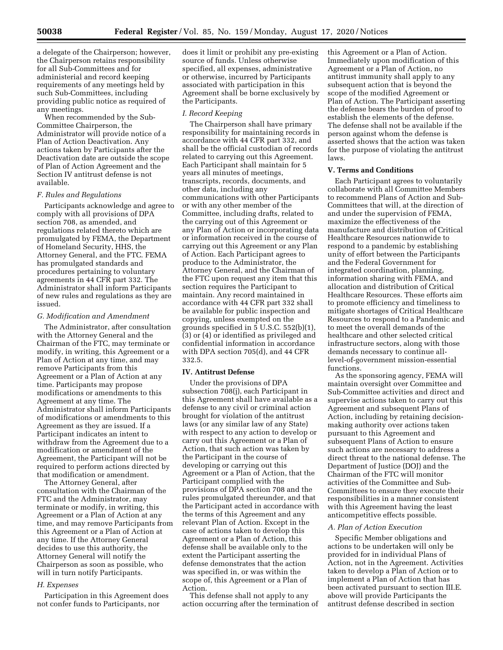a delegate of the Chairperson; however, the Chairperson retains responsibility for all Sub-Committees and for administerial and record keeping requirements of any meetings held by such Sub-Committees, including providing public notice as required of any meetings.

When recommended by the Sub-Committee Chairperson, the Administrator will provide notice of a Plan of Action Deactivation. Any actions taken by Participants after the Deactivation date are outside the scope of Plan of Action Agreement and the Section IV antitrust defense is not available.

#### *F. Rules and Regulations*

Participants acknowledge and agree to comply with all provisions of DPA section 708, as amended, and regulations related thereto which are promulgated by FEMA, the Department of Homeland Security, HHS, the Attorney General, and the FTC. FEMA has promulgated standards and procedures pertaining to voluntary agreements in 44 CFR part 332. The Administrator shall inform Participants of new rules and regulations as they are issued.

#### *G. Modification and Amendment*

The Administrator, after consultation with the Attorney General and the Chairman of the FTC, may terminate or modify, in writing, this Agreement or a Plan of Action at any time, and may remove Participants from this Agreement or a Plan of Action at any time. Participants may propose modifications or amendments to this Agreement at any time. The Administrator shall inform Participants of modifications or amendments to this Agreement as they are issued. If a Participant indicates an intent to withdraw from the Agreement due to a modification or amendment of the Agreement, the Participant will not be required to perform actions directed by that modification or amendment.

The Attorney General, after consultation with the Chairman of the FTC and the Administrator, may terminate or modify, in writing, this Agreement or a Plan of Action at any time, and may remove Participants from this Agreement or a Plan of Action at any time. If the Attorney General decides to use this authority, the Attorney General will notify the Chairperson as soon as possible, who will in turn notify Participants.

#### *H. Expenses*

Participation in this Agreement does not confer funds to Participants, nor

does it limit or prohibit any pre-existing source of funds. Unless otherwise specified, all expenses, administrative or otherwise, incurred by Participants associated with participation in this Agreement shall be borne exclusively by the Participants.

## *I. Record Keeping*

The Chairperson shall have primary responsibility for maintaining records in accordance with 44 CFR part 332, and shall be the official custodian of records related to carrying out this Agreement. Each Participant shall maintain for 5 years all minutes of meetings, transcripts, records, documents, and other data, including any communications with other Participants or with any other member of the Committee, including drafts, related to the carrying out of this Agreement or any Plan of Action or incorporating data or information received in the course of carrying out this Agreement or any Plan of Action. Each Participant agrees to produce to the Administrator, the Attorney General, and the Chairman of the FTC upon request any item that this section requires the Participant to maintain. Any record maintained in accordance with 44 CFR part 332 shall be available for public inspection and copying, unless exempted on the grounds specified in 5 U.S.C. 552(b)(1), (3) or (4) or identified as privileged and confidential information in accordance with DPA section 705(d), and 44 CFR 332.5.

#### **IV. Antitrust Defense**

Under the provisions of DPA subsection 708(j), each Participant in this Agreement shall have available as a defense to any civil or criminal action brought for violation of the antitrust laws (or any similar law of any State) with respect to any action to develop or carry out this Agreement or a Plan of Action, that such action was taken by the Participant in the course of developing or carrying out this Agreement or a Plan of Action, that the Participant complied with the provisions of DPA section 708 and the rules promulgated thereunder, and that the Participant acted in accordance with the terms of this Agreement and any relevant Plan of Action. Except in the case of actions taken to develop this Agreement or a Plan of Action, this defense shall be available only to the extent the Participant asserting the defense demonstrates that the action was specified in, or was within the scope of, this Agreement or a Plan of Action.

This defense shall not apply to any action occurring after the termination of this Agreement or a Plan of Action. Immediately upon modification of this Agreement or a Plan of Action, no antitrust immunity shall apply to any subsequent action that is beyond the scope of the modified Agreement or Plan of Action. The Participant asserting the defense bears the burden of proof to establish the elements of the defense. The defense shall not be available if the person against whom the defense is asserted shows that the action was taken for the purpose of violating the antitrust laws.

#### **V. Terms and Conditions**

Each Participant agrees to voluntarily collaborate with all Committee Members to recommend Plans of Action and Sub-Committees that will, at the direction of and under the supervision of FEMA, maximize the effectiveness of the manufacture and distribution of Critical Healthcare Resources nationwide to respond to a pandemic by establishing unity of effort between the Participants and the Federal Government for integrated coordination, planning, information sharing with FEMA, and allocation and distribution of Critical Healthcare Resources. These efforts aim to promote efficiency and timeliness to mitigate shortages of Critical Healthcare Resources to respond to a Pandemic and to meet the overall demands of the healthcare and other selected critical infrastructure sectors, along with those demands necessary to continue alllevel-of-government mission-essential functions.

As the sponsoring agency, FEMA will maintain oversight over Committee and Sub-Committee activities and direct and supervise actions taken to carry out this Agreement and subsequent Plans of Action, including by retaining decisionmaking authority over actions taken pursuant to this Agreement and subsequent Plans of Action to ensure such actions are necessary to address a direct threat to the national defense. The Department of Justice (DOJ) and the Chairman of the FTC will monitor activities of the Committee and Sub-Committees to ensure they execute their responsibilities in a manner consistent with this Agreement having the least anticompetitive effects possible.

#### *A. Plan of Action Execution*

Specific Member obligations and actions to be undertaken will only be provided for in individual Plans of Action, not in the Agreement. Activities taken to develop a Plan of Action or to implement a Plan of Action that has been activated pursuant to section III.E. above will provide Participants the antitrust defense described in section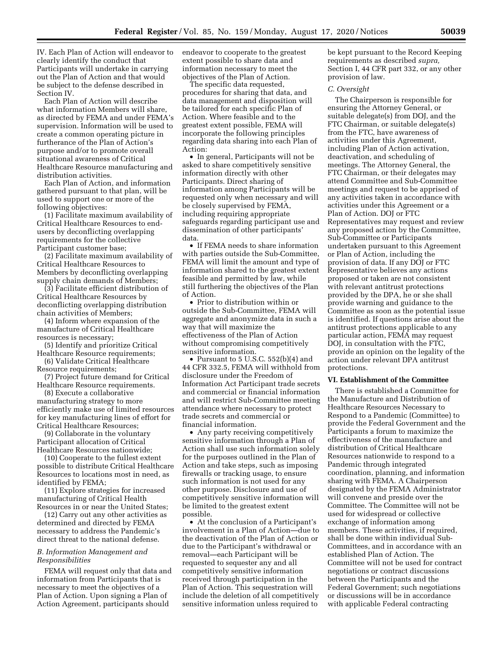IV. Each Plan of Action will endeavor to clearly identify the conduct that Participants will undertake in carrying out the Plan of Action and that would be subject to the defense described in Section IV.

Each Plan of Action will describe what information Members will share, as directed by FEMA and under FEMA's supervision. Information will be used to create a common operating picture in furtherance of the Plan of Action's purpose and/or to promote overall situational awareness of Critical Healthcare Resource manufacturing and distribution activities.

Each Plan of Action, and information gathered pursuant to that plan, will be used to support one or more of the following objectives:

(1) Facilitate maximum availability of Critical Healthcare Resources to endusers by deconflicting overlapping requirements for the collective Participant customer base;

(2) Facilitate maximum availability of Critical Healthcare Resources to Members by deconflicting overlapping supply chain demands of Members;

(3) Facilitate efficient distribution of Critical Healthcare Resources by deconflicting overlapping distribution chain activities of Members;

(4) Inform where expansion of the manufacture of Critical Healthcare resources is necessary;

(5) Identify and prioritize Critical Healthcare Resource requirements;

(6) Validate Critical Healthcare Resource requirements;

(7) Project future demand for Critical Healthcare Resource requirements.

(8) Execute a collaborative manufacturing strategy to more efficiently make use of limited resources for key manufacturing lines of effort for Critical Healthcare Resources;

(9) Collaborate in the voluntary Participant allocation of Critical Healthcare Resources nationwide;

(10) Cooperate to the fullest extent possible to distribute Critical Healthcare Resources to locations most in need, as identified by FEMA;

(11) Explore strategies for increased manufacturing of Critical Health Resources in or near the United States;

(12) Carry out any other activities as determined and directed by FEMA necessary to address the Pandemic's direct threat to the national defense.

#### *B. Information Management and Responsibilities*

FEMA will request only that data and information from Participants that is necessary to meet the objectives of a Plan of Action. Upon signing a Plan of Action Agreement, participants should

endeavor to cooperate to the greatest extent possible to share data and information necessary to meet the objectives of the Plan of Action.

The specific data requested, procedures for sharing that data, and data management and disposition will be tailored for each specific Plan of Action. Where feasible and to the greatest extent possible, FEMA will incorporate the following principles regarding data sharing into each Plan of Action:

• In general, Participants will not be asked to share competitively sensitive information directly with other Participants. Direct sharing of information among Participants will be requested only when necessary and will be closely supervised by FEMA, including requiring appropriate safeguards regarding participant use and dissemination of other participants' data.

• If FEMA needs to share information with parties outside the Sub-Committee, FEMA will limit the amount and type of information shared to the greatest extent feasible and permitted by law, while still furthering the objectives of the Plan of Action.

• Prior to distribution within or outside the Sub-Committee, FEMA will aggregate and anonymize data in such a way that will maximize the effectiveness of the Plan of Action without compromising competitively sensitive information.

• Pursuant to 5 U.S.C. 552(b)(4) and 44 CFR 332.5, FEMA will withhold from disclosure under the Freedom of Information Act Participant trade secrets and commercial or financial information and will restrict Sub-Committee meeting attendance where necessary to protect trade secrets and commercial or financial information.

• Any party receiving competitively sensitive information through a Plan of Action shall use such information solely for the purposes outlined in the Plan of Action and take steps, such as imposing firewalls or tracking usage, to ensure such information is not used for any other purpose. Disclosure and use of competitively sensitive information will be limited to the greatest extent possible.

• At the conclusion of a Participant's involvement in a Plan of Action—due to the deactivation of the Plan of Action or due to the Participant's withdrawal or removal—each Participant will be requested to sequester any and all competitively sensitive information received through participation in the Plan of Action. This sequestration will include the deletion of all competitively sensitive information unless required to

be kept pursuant to the Record Keeping requirements as described *supra,*  Section I, 44 CFR part 332, or any other provision of law.

#### *C. Oversight*

The Chairperson is responsible for ensuring the Attorney General, or suitable delegate(s) from DOJ, and the FTC Chairman, or suitable delegate(s) from the FTC, have awareness of activities under this Agreement, including Plan of Action activation, deactivation, and scheduling of meetings. The Attorney General, the FTC Chairman, or their delegates may attend Committee and Sub-Committee meetings and request to be apprised of any activities taken in accordance with activities under this Agreement or a Plan of Action. DOJ or FTC Representatives may request and review any proposed action by the Committee, Sub-Committee or Participants undertaken pursuant to this Agreement or Plan of Action, including the provision of data. If any DOJ or FTC Representative believes any actions proposed or taken are not consistent with relevant antitrust protections provided by the DPA, he or she shall provide warning and guidance to the Committee as soon as the potential issue is identified. If questions arise about the antitrust protections applicable to any particular action, FEMA may request DOJ, in consultation with the FTC, provide an opinion on the legality of the action under relevant DPA antitrust protections.

## **VI. Establishment of the Committee**

There is established a Committee for the Manufacture and Distribution of Healthcare Resources Necessary to Respond to a Pandemic (Committee) to provide the Federal Government and the Participants a forum to maximize the effectiveness of the manufacture and distribution of Critical Healthcare Resources nationwide to respond to a Pandemic through integrated coordination, planning, and information sharing with FEMA. A Chairperson designated by the FEMA Administrator will convene and preside over the Committee. The Committee will not be used for widespread or collective exchange of information among members. These activities, if required, shall be done within individual Sub-Committees, and in accordance with an established Plan of Action. The Committee will not be used for contract negotiations or contract discussions between the Participants and the Federal Government; such negotiations or discussions will be in accordance with applicable Federal contracting